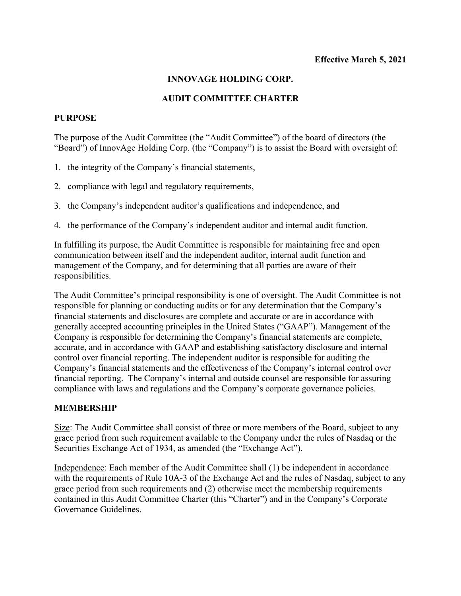## **INNOVAGE HOLDING CORP.**

## **AUDIT COMMITTEE CHARTER**

### **PURPOSE**

The purpose of the Audit Committee (the "Audit Committee") of the board of directors (the "Board") of InnovAge Holding Corp. (the "Company") is to assist the Board with oversight of:

- 1. the integrity of the Company's financial statements,
- 2. compliance with legal and regulatory requirements,
- 3. the Company's independent auditor's qualifications and independence, and
- 4. the performance of the Company's independent auditor and internal audit function.

In fulfilling its purpose, the Audit Committee is responsible for maintaining free and open communication between itself and the independent auditor, internal audit function and management of the Company, and for determining that all parties are aware of their responsibilities.

The Audit Committee's principal responsibility is one of oversight. The Audit Committee is not responsible for planning or conducting audits or for any determination that the Company's financial statements and disclosures are complete and accurate or are in accordance with generally accepted accounting principles in the United States ("GAAP"). Management of the Company is responsible for determining the Company's financial statements are complete, accurate, and in accordance with GAAP and establishing satisfactory disclosure and internal control over financial reporting. The independent auditor is responsible for auditing the Company's financial statements and the effectiveness of the Company's internal control over financial reporting. The Company's internal and outside counsel are responsible for assuring compliance with laws and regulations and the Company's corporate governance policies.

#### **MEMBERSHIP**

Size: The Audit Committee shall consist of three or more members of the Board, subject to any grace period from such requirement available to the Company under the rules of Nasdaq or the Securities Exchange Act of 1934, as amended (the "Exchange Act").

Independence: Each member of the Audit Committee shall (1) be independent in accordance with the requirements of Rule 10A-3 of the Exchange Act and the rules of Nasdaq, subject to any grace period from such requirements and (2) otherwise meet the membership requirements contained in this Audit Committee Charter (this "Charter") and in the Company's Corporate Governance Guidelines.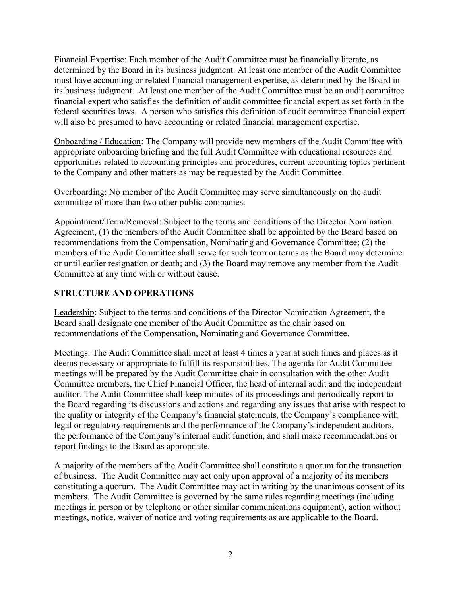Financial Expertise: Each member of the Audit Committee must be financially literate, as determined by the Board in its business judgment. At least one member of the Audit Committee must have accounting or related financial management expertise, as determined by the Board in its business judgment. At least one member of the Audit Committee must be an audit committee financial expert who satisfies the definition of audit committee financial expert as set forth in the federal securities laws. A person who satisfies this definition of audit committee financial expert will also be presumed to have accounting or related financial management expertise.

Onboarding / Education: The Company will provide new members of the Audit Committee with appropriate onboarding briefing and the full Audit Committee with educational resources and opportunities related to accounting principles and procedures, current accounting topics pertinent to the Company and other matters as may be requested by the Audit Committee.

Overboarding: No member of the Audit Committee may serve simultaneously on the audit committee of more than two other public companies.

Appointment/Term/Removal: Subject to the terms and conditions of the Director Nomination Agreement, (1) the members of the Audit Committee shall be appointed by the Board based on recommendations from the Compensation, Nominating and Governance Committee; (2) the members of the Audit Committee shall serve for such term or terms as the Board may determine or until earlier resignation or death; and (3) the Board may remove any member from the Audit Committee at any time with or without cause.

# **STRUCTURE AND OPERATIONS**

Leadership: Subject to the terms and conditions of the Director Nomination Agreement, the Board shall designate one member of the Audit Committee as the chair based on recommendations of the Compensation, Nominating and Governance Committee.

Meetings: The Audit Committee shall meet at least 4 times a year at such times and places as it deems necessary or appropriate to fulfill its responsibilities. The agenda for Audit Committee meetings will be prepared by the Audit Committee chair in consultation with the other Audit Committee members, the Chief Financial Officer, the head of internal audit and the independent auditor. The Audit Committee shall keep minutes of its proceedings and periodically report to the Board regarding its discussions and actions and regarding any issues that arise with respect to the quality or integrity of the Company's financial statements, the Company's compliance with legal or regulatory requirements and the performance of the Company's independent auditors, the performance of the Company's internal audit function, and shall make recommendations or report findings to the Board as appropriate.

A majority of the members of the Audit Committee shall constitute a quorum for the transaction of business. The Audit Committee may act only upon approval of a majority of its members constituting a quorum. The Audit Committee may act in writing by the unanimous consent of its members. The Audit Committee is governed by the same rules regarding meetings (including meetings in person or by telephone or other similar communications equipment), action without meetings, notice, waiver of notice and voting requirements as are applicable to the Board.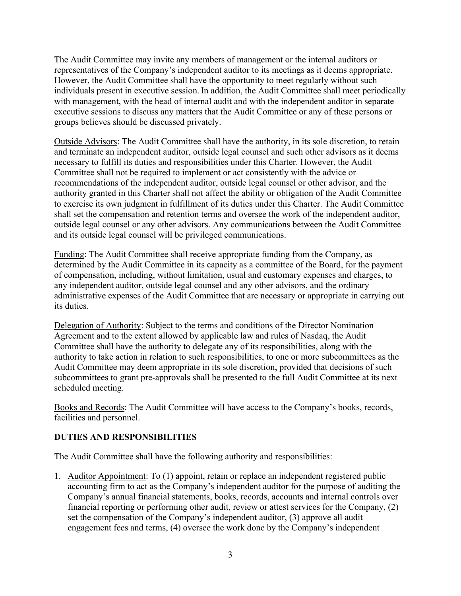The Audit Committee may invite any members of management or the internal auditors or representatives of the Company's independent auditor to its meetings as it deems appropriate. However, the Audit Committee shall have the opportunity to meet regularly without such individuals present in executive session. In addition, the Audit Committee shall meet periodically with management, with the head of internal audit and with the independent auditor in separate executive sessions to discuss any matters that the Audit Committee or any of these persons or groups believes should be discussed privately.

Outside Advisors: The Audit Committee shall have the authority, in its sole discretion, to retain and terminate an independent auditor, outside legal counsel and such other advisors as it deems necessary to fulfill its duties and responsibilities under this Charter. However, the Audit Committee shall not be required to implement or act consistently with the advice or recommendations of the independent auditor, outside legal counsel or other advisor, and the authority granted in this Charter shall not affect the ability or obligation of the Audit Committee to exercise its own judgment in fulfillment of its duties under this Charter. The Audit Committee shall set the compensation and retention terms and oversee the work of the independent auditor, outside legal counsel or any other advisors. Any communications between the Audit Committee and its outside legal counsel will be privileged communications.

Funding: The Audit Committee shall receive appropriate funding from the Company, as determined by the Audit Committee in its capacity as a committee of the Board, for the payment of compensation, including, without limitation, usual and customary expenses and charges, to any independent auditor, outside legal counsel and any other advisors, and the ordinary administrative expenses of the Audit Committee that are necessary or appropriate in carrying out its duties.

Delegation of Authority: Subject to the terms and conditions of the Director Nomination Agreement and to the extent allowed by applicable law and rules of Nasdaq, the Audit Committee shall have the authority to delegate any of its responsibilities, along with the authority to take action in relation to such responsibilities, to one or more subcommittees as the Audit Committee may deem appropriate in its sole discretion, provided that decisions of such subcommittees to grant pre-approvals shall be presented to the full Audit Committee at its next scheduled meeting.

Books and Records: The Audit Committee will have access to the Company's books, records, facilities and personnel.

## **DUTIES AND RESPONSIBILITIES**

The Audit Committee shall have the following authority and responsibilities:

1. Auditor Appointment: To (1) appoint, retain or replace an independent registered public accounting firm to act as the Company's independent auditor for the purpose of auditing the Company's annual financial statements, books, records, accounts and internal controls over financial reporting or performing other audit, review or attest services for the Company, (2) set the compensation of the Company's independent auditor, (3) approve all audit engagement fees and terms, (4) oversee the work done by the Company's independent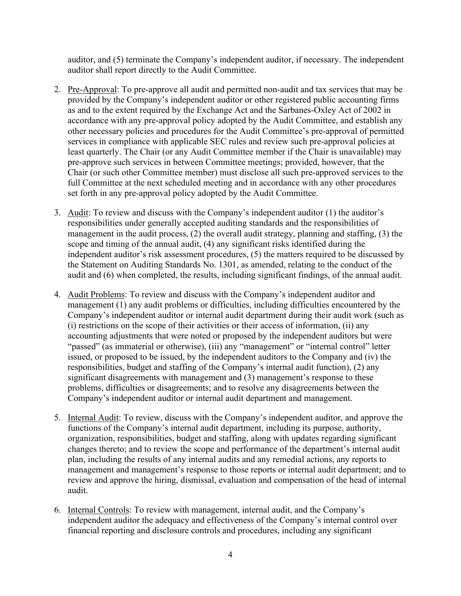auditor, and (5) terminate the Company's independent auditor, if necessary. The independent auditor shall report directly to the Audit Committee.

- 2. Pre-Approval: To pre-approve all audit and permitted non-audit and tax services that may be provided by the Company's independent auditor or other registered public accounting firms as and to the extent required by the Exchange Act and the Sarbanes-Oxley Act of 2002 in accordance with any pre-approval policy adopted by the Audit Committee, and establish any other necessary policies and procedures for the Audit Committee's pre-approval of permitted services in compliance with applicable SEC rules and review such pre-approval policies at least quarterly. The Chair (or any Audit Committee member if the Chair is unavailable) may pre-approve such services in between Committee meetings; provided, however, that the Chair (or such other Committee member) must disclose all such pre-approved services to the full Committee at the next scheduled meeting and in accordance with any other procedures set forth in any pre-approval policy adopted by the Audit Committee.
- 3. Audit: To review and discuss with the Company's independent auditor (1) the auditor's responsibilities under generally accepted auditing standards and the responsibilities of management in the audit process, (2) the overall audit strategy, planning and staffing, (3) the scope and timing of the annual audit, (4) any significant risks identified during the independent auditor's risk assessment procedures, (5) the matters required to be discussed by the Statement on Auditing Standards No. 1301, as amended, relating to the conduct of the audit and (6) when completed, the results, including significant findings, of the annual audit.
- 4. Audit Problems: To review and discuss with the Company's independent auditor and management (1) any audit problems or difficulties, including difficulties encountered by the Company's independent auditor or internal audit department during their audit work (such as (i) restrictions on the scope of their activities or their access of information, (ii) any accounting adjustments that were noted or proposed by the independent auditors but were "passed" (as immaterial or otherwise), (iii) any "management" or "internal control" letter issued, or proposed to be issued, by the independent auditors to the Company and (iv) the responsibilities, budget and staffing of the Company's internal audit function), (2) any significant disagreements with management and (3) management's response to these problems, difficulties or disagreements; and to resolve any disagreements between the Company's independent auditor or internal audit department and management.
- 5. Internal Audit: To review, discuss with the Company's independent auditor, and approve the functions of the Company's internal audit department, including its purpose, authority, organization, responsibilities, budget and staffing, along with updates regarding significant changes thereto; and to review the scope and performance of the department's internal audit plan, including the results of any internal audits and any remedial actions, any reports to management and management's response to those reports or internal audit department; and to review and approve the hiring, dismissal, evaluation and compensation of the head of internal audit.
- 6. Internal Controls: To review with management, internal audit, and the Company's independent auditor the adequacy and effectiveness of the Company's internal control over financial reporting and disclosure controls and procedures, including any significant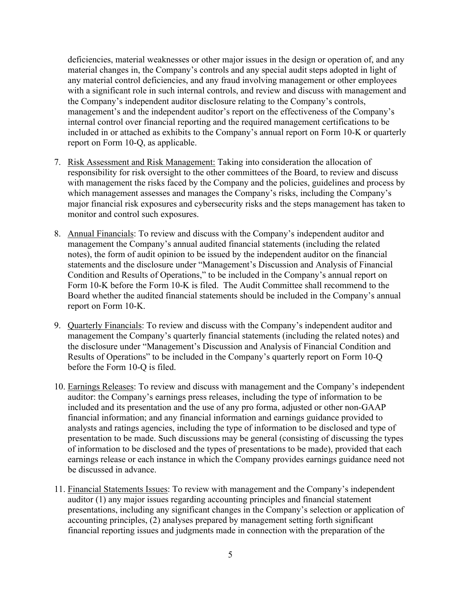deficiencies, material weaknesses or other major issues in the design or operation of, and any material changes in, the Company's controls and any special audit steps adopted in light of any material control deficiencies, and any fraud involving management or other employees with a significant role in such internal controls, and review and discuss with management and the Company's independent auditor disclosure relating to the Company's controls, management's and the independent auditor's report on the effectiveness of the Company's internal control over financial reporting and the required management certifications to be included in or attached as exhibits to the Company's annual report on Form 10-K or quarterly report on Form 10-Q, as applicable.

- 7. Risk Assessment and Risk Management: Taking into consideration the allocation of responsibility for risk oversight to the other committees of the Board, to review and discuss with management the risks faced by the Company and the policies, guidelines and process by which management assesses and manages the Company's risks, including the Company's major financial risk exposures and cybersecurity risks and the steps management has taken to monitor and control such exposures.
- 8. Annual Financials: To review and discuss with the Company's independent auditor and management the Company's annual audited financial statements (including the related notes), the form of audit opinion to be issued by the independent auditor on the financial statements and the disclosure under "Management's Discussion and Analysis of Financial Condition and Results of Operations," to be included in the Company's annual report on Form 10-K before the Form 10-K is filed. The Audit Committee shall recommend to the Board whether the audited financial statements should be included in the Company's annual report on Form 10-K.
- 9. Quarterly Financials: To review and discuss with the Company's independent auditor and management the Company's quarterly financial statements (including the related notes) and the disclosure under "Management's Discussion and Analysis of Financial Condition and Results of Operations" to be included in the Company's quarterly report on Form 10-Q before the Form 10-Q is filed.
- 10. Earnings Releases: To review and discuss with management and the Company's independent auditor: the Company's earnings press releases, including the type of information to be included and its presentation and the use of any pro forma, adjusted or other non-GAAP financial information; and any financial information and earnings guidance provided to analysts and ratings agencies, including the type of information to be disclosed and type of presentation to be made. Such discussions may be general (consisting of discussing the types of information to be disclosed and the types of presentations to be made), provided that each earnings release or each instance in which the Company provides earnings guidance need not be discussed in advance.
- 11. Financial Statements Issues: To review with management and the Company's independent auditor (1) any major issues regarding accounting principles and financial statement presentations, including any significant changes in the Company's selection or application of accounting principles, (2) analyses prepared by management setting forth significant financial reporting issues and judgments made in connection with the preparation of the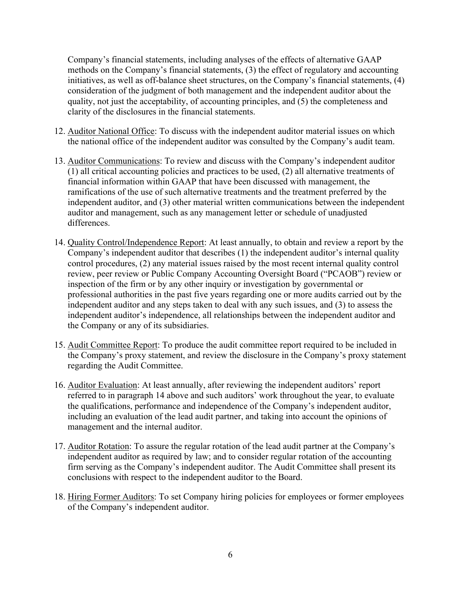Company's financial statements, including analyses of the effects of alternative GAAP methods on the Company's financial statements, (3) the effect of regulatory and accounting initiatives, as well as off-balance sheet structures, on the Company's financial statements, (4) consideration of the judgment of both management and the independent auditor about the quality, not just the acceptability, of accounting principles, and (5) the completeness and clarity of the disclosures in the financial statements.

- 12. Auditor National Office: To discuss with the independent auditor material issues on which the national office of the independent auditor was consulted by the Company's audit team.
- 13. Auditor Communications: To review and discuss with the Company's independent auditor (1) all critical accounting policies and practices to be used, (2) all alternative treatments of financial information within GAAP that have been discussed with management, the ramifications of the use of such alternative treatments and the treatment preferred by the independent auditor, and (3) other material written communications between the independent auditor and management, such as any management letter or schedule of unadjusted differences.
- 14. Quality Control/Independence Report: At least annually, to obtain and review a report by the Company's independent auditor that describes (1) the independent auditor's internal quality control procedures, (2) any material issues raised by the most recent internal quality control review, peer review or Public Company Accounting Oversight Board ("PCAOB") review or inspection of the firm or by any other inquiry or investigation by governmental or professional authorities in the past five years regarding one or more audits carried out by the independent auditor and any steps taken to deal with any such issues, and (3) to assess the independent auditor's independence, all relationships between the independent auditor and the Company or any of its subsidiaries.
- 15. Audit Committee Report: To produce the audit committee report required to be included in the Company's proxy statement, and review the disclosure in the Company's proxy statement regarding the Audit Committee.
- 16. Auditor Evaluation: At least annually, after reviewing the independent auditors' report referred to in paragraph 14 above and such auditors' work throughout the year, to evaluate the qualifications, performance and independence of the Company's independent auditor, including an evaluation of the lead audit partner, and taking into account the opinions of management and the internal auditor.
- 17. Auditor Rotation: To assure the regular rotation of the lead audit partner at the Company's independent auditor as required by law; and to consider regular rotation of the accounting firm serving as the Company's independent auditor. The Audit Committee shall present its conclusions with respect to the independent auditor to the Board.
- 18. Hiring Former Auditors: To set Company hiring policies for employees or former employees of the Company's independent auditor.